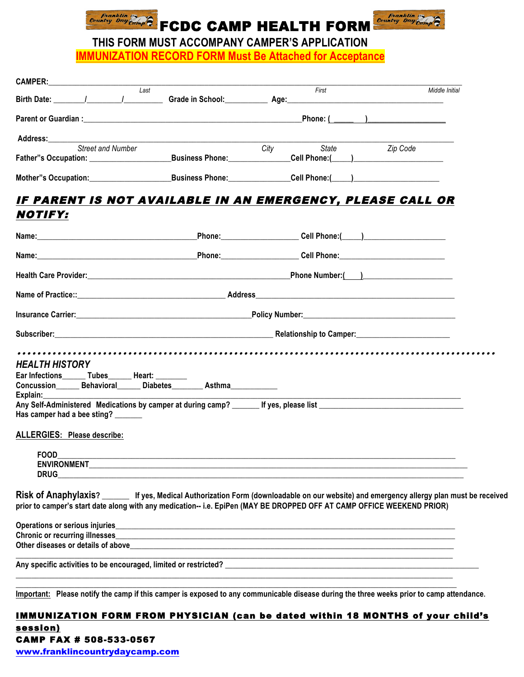



*Country Day Guing*  $\widehat{E}$  **FCDC CAMP HEALTH FORM** Country Day  $\widehat{E}$  **THIS FORM MUST ACCOMPANY CAMPER'S APPLICATION IMMUNIZATION RECORD FORM Must Be Attached for Acceptance** 

| <b>CAMPER:</b><br><u> 1980 - Jan Barat, prima a</u>                                                                                                                                                                                                                |                                                                                                                                                                                                                                |                                     |                                                          |  |
|--------------------------------------------------------------------------------------------------------------------------------------------------------------------------------------------------------------------------------------------------------------------|--------------------------------------------------------------------------------------------------------------------------------------------------------------------------------------------------------------------------------|-------------------------------------|----------------------------------------------------------|--|
| Last<br>Birth Date: (and a set of the set of the set of the set of the set of the set of the set of the set of the set o                                                                                                                                           |                                                                                                                                                                                                                                | First<br>Grade in School: Age: Age: | Middle Initial                                           |  |
|                                                                                                                                                                                                                                                                    |                                                                                                                                                                                                                                |                                     | Phone: ( )                                               |  |
| Address:                                                                                                                                                                                                                                                           |                                                                                                                                                                                                                                |                                     |                                                          |  |
| <b>Street and Number</b>                                                                                                                                                                                                                                           | Business Phone: Management Control of the Business Phone:                                                                                                                                                                      | City<br>State                       | Zip Code<br>_Cell Phone:(_____)_________________________ |  |
| Mother"s Occupation: Business Phone: Cell Phone: Cell Phone: Cell Phone: Cell Phone: Cell Phone: Cell Phone: Cell Phone: Cell Phone: Cell Phone: Cell Phone: Cell Phone: Cell Phone: Cell Phone: Cell Phone: Cell Phone: Cell                                      |                                                                                                                                                                                                                                |                                     |                                                          |  |
|                                                                                                                                                                                                                                                                    |                                                                                                                                                                                                                                |                                     |                                                          |  |
| IF PARENT IS NOT AVAILABLE IN AN EMERGENCY, PLEASE CALL OR<br>NOTIFY:                                                                                                                                                                                              |                                                                                                                                                                                                                                |                                     |                                                          |  |
|                                                                                                                                                                                                                                                                    |                                                                                                                                                                                                                                |                                     |                                                          |  |
| Name: Cell Phone: Cell Phone: Cell Phone: Cell Phone: Cell Phone: Cell Phone: Cell Phone: Cell Phone: Cell Phone: Cell Phone: Cell Phone: Cell Phone: Cell Phone: Cell Phone: Cell Phone: Cell Phone: Cell Phone: Cell Phone:                                      |                                                                                                                                                                                                                                |                                     |                                                          |  |
|                                                                                                                                                                                                                                                                    |                                                                                                                                                                                                                                |                                     | Phone Number:()                                          |  |
|                                                                                                                                                                                                                                                                    |                                                                                                                                                                                                                                |                                     |                                                          |  |
|                                                                                                                                                                                                                                                                    |                                                                                                                                                                                                                                |                                     |                                                          |  |
|                                                                                                                                                                                                                                                                    | Subscriber: Material Company of Camper Company of Camper Company of Camper Company of Camper Company of Camper Company of Camper Company of Camper Company of Camper Company of Camper Company of Camper Company of Company of |                                     |                                                          |  |
|                                                                                                                                                                                                                                                                    |                                                                                                                                                                                                                                |                                     |                                                          |  |
| <b>HEALTH HISTORY</b>                                                                                                                                                                                                                                              |                                                                                                                                                                                                                                |                                     |                                                          |  |
| Ear Infections________ Tubes________ Heart: _________                                                                                                                                                                                                              |                                                                                                                                                                                                                                |                                     |                                                          |  |
| Concussion Behavioral Diabetes Asthma<br>Explain:                                                                                                                                                                                                                  |                                                                                                                                                                                                                                |                                     |                                                          |  |
| Has camper had a bee sting?                                                                                                                                                                                                                                        |                                                                                                                                                                                                                                |                                     |                                                          |  |
| ALLERGIES: Please describe:                                                                                                                                                                                                                                        |                                                                                                                                                                                                                                |                                     |                                                          |  |
| <b>FOOD</b>                                                                                                                                                                                                                                                        |                                                                                                                                                                                                                                |                                     |                                                          |  |
|                                                                                                                                                                                                                                                                    |                                                                                                                                                                                                                                |                                     |                                                          |  |
| <b>DRUG</b>                                                                                                                                                                                                                                                        |                                                                                                                                                                                                                                |                                     |                                                          |  |
| Risk of Anaphylaxis? ______ If yes, Medical Authorization Form (downloadable on our website) and emergency allergy plan must be received<br>prior to camper's start date along with any medication-- i.e. EpiPen (MAY BE DROPPED OFF AT CAMP OFFICE WEEKEND PRIOR) |                                                                                                                                                                                                                                |                                     |                                                          |  |
| Operations or serious injuries_                                                                                                                                                                                                                                    |                                                                                                                                                                                                                                |                                     |                                                          |  |
|                                                                                                                                                                                                                                                                    |                                                                                                                                                                                                                                |                                     |                                                          |  |
|                                                                                                                                                                                                                                                                    |                                                                                                                                                                                                                                |                                     |                                                          |  |
|                                                                                                                                                                                                                                                                    |                                                                                                                                                                                                                                |                                     |                                                          |  |
|                                                                                                                                                                                                                                                                    |                                                                                                                                                                                                                                |                                     |                                                          |  |

**Important: Please notify the camp if this camper is exposed to any communicable disease during the three weeks prior to camp attendance.**

## IMMUNIZATION FORM FROM PHYSICIAN (can be dated within 18 MONTHS of your child's session) CAMP FAX # 508-533-0567

www.franklincountrydaycamp.com